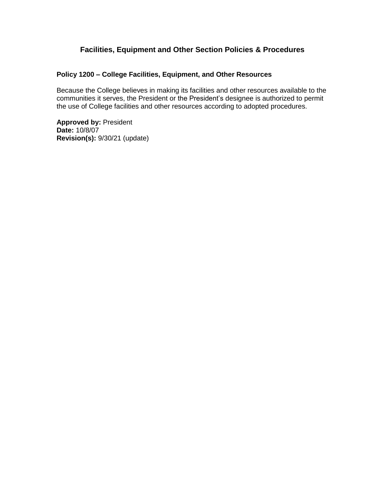# **Facilities, Equipment and Other Section Policies & Procedures**

#### **Policy 1200 – College Facilities, Equipment, and Other Resources**

Because the College believes in making its facilities and other resources available to the communities it serves, the President or the President's designee is authorized to permit the use of College facilities and other resources according to adopted procedures.

**Approved by:** President **Date:** 10/8/07 **Revision(s):** 9/30/21 (update)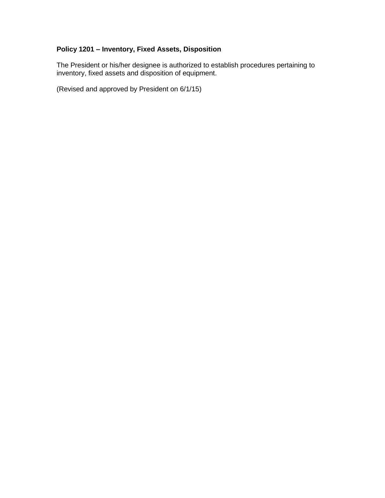## **Policy 1201 – Inventory, Fixed Assets, Disposition**

The President or his/her designee is authorized to establish procedures pertaining to inventory, fixed assets and disposition of equipment.

(Revised and approved by President on 6/1/15)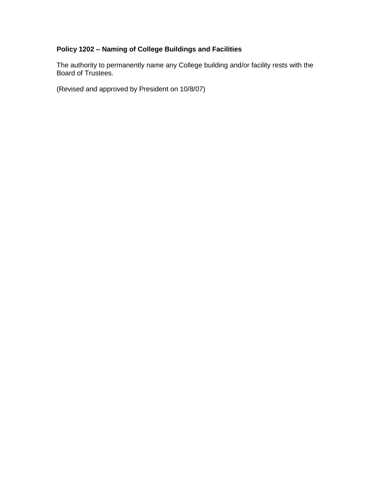## **Policy 1202 – Naming of College Buildings and Facilities**

The authority to permanently name any College building and/or facility rests with the Board of Trustees.

(Revised and approved by President on 10/8/07)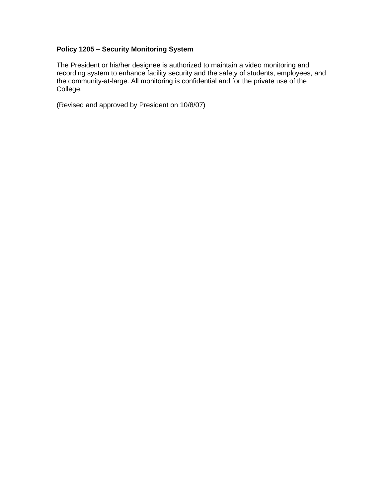## **Policy 1205 – Security Monitoring System**

The President or his/her designee is authorized to maintain a video monitoring and recording system to enhance facility security and the safety of students, employees, and the community-at-large. All monitoring is confidential and for the private use of the College.

(Revised and approved by President on 10/8/07)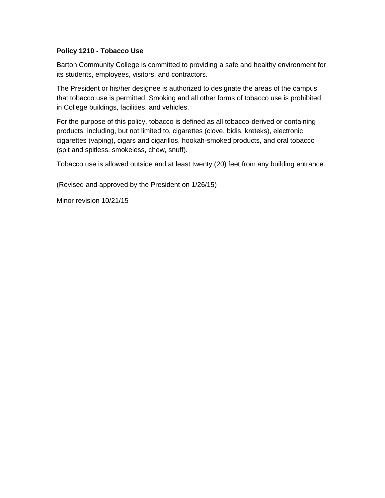#### **Policy 1210 - Tobacco Use**

Barton Community College is committed to providing a safe and healthy environment for its students, employees, visitors, and contractors.

The President or his/her designee is authorized to designate the areas of the campus that tobacco use is permitted. Smoking and all other forms of tobacco use is prohibited in College buildings, facilities, and vehicles.

For the purpose of this policy, tobacco is defined as all tobacco-derived or containing products, including, but not limited to, cigarettes (clove, bidis, kreteks), electronic cigarettes (vaping), cigars and cigarillos, hookah-smoked products, and oral tobacco (spit and spitless, smokeless, chew, snuff).

Tobacco use is allowed outside and at least twenty (20) feet from any building entrance.

(Revised and approved by the President on 1/26/15)

Minor revision 10/21/15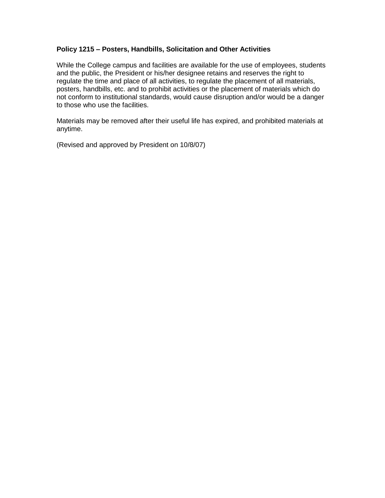#### **Policy 1215 – Posters, Handbills, Solicitation and Other Activities**

While the College campus and facilities are available for the use of employees, students and the public, the President or his/her designee retains and reserves the right to regulate the time and place of all activities, to regulate the placement of all materials, posters, handbills, etc. and to prohibit activities or the placement of materials which do not conform to institutional standards, would cause disruption and/or would be a danger to those who use the facilities.

Materials may be removed after their useful life has expired, and prohibited materials at anytime.

(Revised and approved by President on 10/8/07)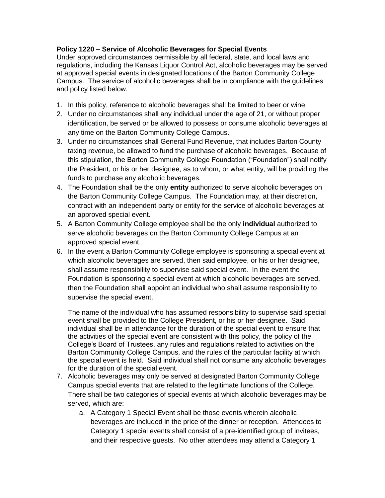## **Policy 1220 – Service of Alcoholic Beverages for Special Events**

Under approved circumstances permissible by all federal, state, and local laws and regulations, including the Kansas Liquor Control Act, alcoholic beverages may be served at approved special events in designated locations of the Barton Community College Campus. The service of alcoholic beverages shall be in compliance with the guidelines and policy listed below.

- 1. In this policy, reference to alcoholic beverages shall be limited to beer or wine.
- 2. Under no circumstances shall any individual under the age of 21, or without proper identification, be served or be allowed to possess or consume alcoholic beverages at any time on the Barton Community College Campus.
- 3. Under no circumstances shall General Fund Revenue, that includes Barton County taxing revenue, be allowed to fund the purchase of alcoholic beverages. Because of this stipulation, the Barton Community College Foundation ("Foundation") shall notify the President, or his or her designee, as to whom, or what entity, will be providing the funds to purchase any alcoholic beverages.
- 4. The Foundation shall be the only **entity** authorized to serve alcoholic beverages on the Barton Community College Campus. The Foundation may, at their discretion, contract with an independent party or entity for the service of alcoholic beverages at an approved special event.
- 5. A Barton Community College employee shall be the only **individual** authorized to serve alcoholic beverages on the Barton Community College Campus at an approved special event.
- 6. In the event a Barton Community College employee is sponsoring a special event at which alcoholic beverages are served, then said employee, or his or her designee, shall assume responsibility to supervise said special event. In the event the Foundation is sponsoring a special event at which alcoholic beverages are served, then the Foundation shall appoint an individual who shall assume responsibility to supervise the special event.

The name of the individual who has assumed responsibility to supervise said special event shall be provided to the College President, or his or her designee. Said individual shall be in attendance for the duration of the special event to ensure that the activities of the special event are consistent with this policy, the policy of the College's Board of Trustees, any rules and regulations related to activities on the Barton Community College Campus, and the rules of the particular facility at which the special event is held. Said individual shall not consume any alcoholic beverages for the duration of the special event.

- 7. Alcoholic beverages may only be served at designated Barton Community College Campus special events that are related to the legitimate functions of the College. There shall be two categories of special events at which alcoholic beverages may be served, which are:
	- a. A Category 1 Special Event shall be those events wherein alcoholic beverages are included in the price of the dinner or reception. Attendees to Category 1 special events shall consist of a pre-identified group of invitees, and their respective guests. No other attendees may attend a Category 1